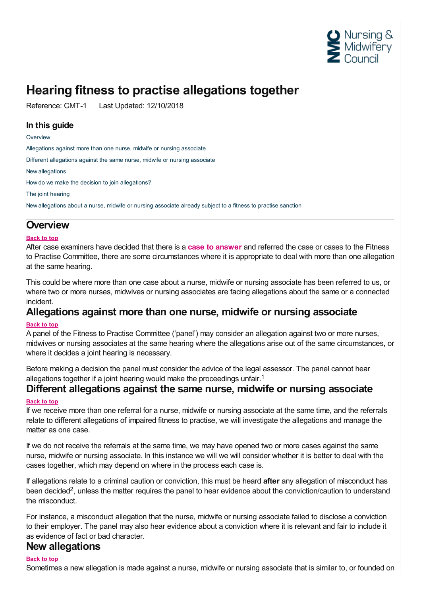

# **Hearing fitness to practise allegations together**

Reference: CMT-1 Last Updated: 12/10/2018

### **In this guide**

#### **[Overview](#page-0-0)**

[Allegations](#page-0-1) against more than one nurse, midwife or nursing associate

Different [allegations](#page-0-2) against the same nurse, midwife or nursing associate

New [allegations](#page-0-3)

How do we make the decision to join [allegations?](#page-1-0)

The joint [hearing](#page-1-1)

New [allegations](#page-1-2) about a nurse, midwife or nursing associate already subject to a fitness to practise sanction

### <span id="page-0-0"></span>**Overview**

#### **Back to top**

After case examiners have decided that there is a **case to [answer](https://www.nmc.org.uk/ftp-library/case-examiners/how-case-examiners-decide-there-is-a-case-to-answer/)** and referred the case or cases to the Fitness to Practise Committee, there are some circumstances where it is appropriate to deal with more than one allegation at the same hearing.

This could be where more than one case about a nurse, midwife or nursing associate has been referred to us, or where two or more nurses, midwives or nursing associates are facing allegations about the same or a connected incident.

## <span id="page-0-1"></span>**Allegations against more than one nurse, midwife or nursing associate**

### **Back to top**

A panel of the Fitness to Practise Committee ('panel') may consider an allegation against two or more nurses, midwives or nursing associates at the same hearing where the allegations arise out of the same circumstances, or where it decides a joint hearing is necessary.

Before making a decision the panel must consider the advice of the legal assessor. The panel cannot hear allegations together if a joint hearing would make the proceedings unfair.<sup>1</sup>

### <span id="page-0-2"></span>**Different allegations against the same nurse, midwife or nursing associate**

#### **Back to top**

If we receive more than one referral for a nurse, midwife or nursing associate at the same time, and the referrals relate to different allegations of impaired fitness to practise, we will investigate the allegations and manage the matter as one case.

If we do not receive the referrals at the same time, we may have opened two or more cases against the same nurse, midwife or nursing associate. In this instance we will we will consider whether it is better to deal with the cases together, which may depend on where in the process each case is.

If allegations relate to a criminal caution or conviction, this must be heard **after** any allegation of misconduct has been decided<sup>2</sup>, unless the matter requires the panel to hear evidence about the conviction/caution to understand the misconduct.

For instance, a misconduct allegation that the nurse, midwife or nursing associate failed to disclose a conviction to their employer. The panel may also hear evidence about a conviction where it is relevant and fair to include it as evidence of fact or bad character.

### <span id="page-0-3"></span>**New allegations**

#### **Back to top**

Sometimes a new allegation is made against a nurse, midwife or nursing associate that is similar to, or founded on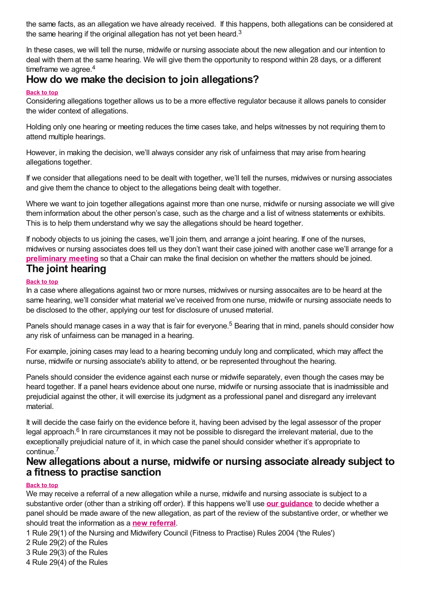the same facts, as an allegation we have already received. If this happens, both allegations can be considered at the same hearing if the original allegation has not yet been heard.<sup>3</sup>

In these cases, we will tell the nurse, midwife or nursing associate about the new allegation and our intention to deal with them at the same hearing. We will give them the opportunity to respond within 28 days, or a different timeframe we agree.<sup>4</sup>

# <span id="page-1-0"></span>**How do we make the decision to join allegations?**

#### **Back to top**

Considering allegations together allows us to be a more effective regulator because it allows panels to consider the wider context of allegations.

Holding only one hearing or meeting reduces the time cases take, and helps witnesses by not requiring them to attend multiple hearings.

However, in making the decision, we'll always consider any risk of unfairness that may arise from hearing allegations together.

If we consider that allegations need to be dealt with together, we'll tell the nurses, midwives or nursing associates and give them the chance to object to the allegations being dealt with together.

Where we want to join together allegations against more than one nurse, midwife or nursing associate we will give them information about the other person's case, such as the charge and a list of witness statements or exhibits. This is to help them understand why we say the allegations should be heard together.

If nobody objects to us joining the cases, we'll join them, and arrange a joint hearing. If one of the nurses, midwives or nursing associates does tell us they don't want their case joined with another case we'll arrange for a **[preliminary](https://www.nmc.org.uk/ftp-library/case-management/preliminary-meetings/) meeting** so that a Chair can make the final decision on whether the matters should be joined.

### <span id="page-1-1"></span>**The joint hearing**

### **Back to top**

In a case where allegations against two or more nurses, midwives or nursing assocaites are to be heard at the same hearing, we'll consider what material we've received from one nurse, midwife or nursing associate needs to be disclosed to the other, applying our test for disclosure of unused material.

Panels should manage cases in a way that is fair for everyone.<sup>5</sup> Bearing that in mind, panels should consider how any risk of unfairness can be managed in a hearing.

For example, joining cases may lead to a hearing becoming unduly long and complicated, which may affect the nurse, midwife or nursing associate's ability to attend, or be represented throughout the hearing.

Panels should consider the evidence against each nurse or midwife separately, even though the cases may be heard together. If a panel hears evidence about one nurse, midwife or nursing associate that is inadmissible and prejudicial against the other, it will exercise its judgment as a professional panel and disregard any irrelevant material.

It will decide the case fairly on the evidence before it, having been advised by the legal assessor of the proper legal approach.<sup>6</sup> In rare circumstances it may not be possible to disregard the irrelevant material, due to the exceptionally prejudicial nature of it, in which case the panel should consider whether it's appropriate to continue. 7

### <span id="page-1-2"></span>**New allegations about a nurse, midwife or nursing associate already subject to a fitness to practise sanction**

### **Back to top**

We may receive a referral of a new allegation while a nurse, midwife and nursing associate is subject to a substantive order (other than a striking off order). If this happens we'll use **our [guidance](https://www.nmc.org.uk/ftp-library/reviews/substantive-order-reviews/new-allegations/)** to decide whether a panel should be made aware of the new allegation, as part of the review of the substantive order, or whether we should treat the information as a **new [referral](~/link/f2d954e426124de1b881579a65f27c14.aspx)**.

1 Rule 29(1) of the Nursing and Midwifery Council (Fitness to Practise) Rules 2004 ('the Rules')

2 Rule 29(2) of the Rules

3 Rule 29(3) of the Rules

4 Rule 29(4) of the Rules